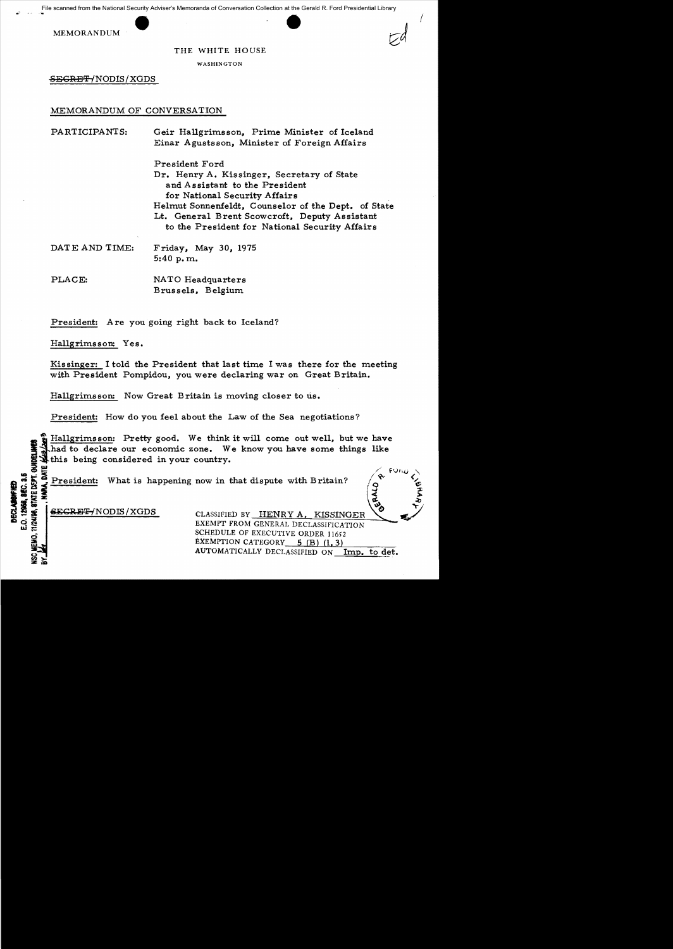

## THE WHITE HOUSE

I

WASHINGTON

SEGRET/NODIS/XGDS

## MEMORANDUM OF CONVERSATION

| PARTICIPANTS:  | Geir Hallgrimsson, Prime Minister of Iceland<br>Einar Agustsson, Minister of Foreign Affairs                                                                                                                                                                                              |
|----------------|-------------------------------------------------------------------------------------------------------------------------------------------------------------------------------------------------------------------------------------------------------------------------------------------|
|                | President Ford<br>Dr. Henry A. Kissinger, Secretary of State<br>and Assistant to the President<br>for National Security Affairs<br>Helmut Sonnenfeldt, Counselor of the Dept. of State<br>Lt. General Brent Scowcroft, Deputy Assistant<br>to the President for National Security Affairs |
| DATE AND TIME: | Friday, May 30, 1975<br>5:40 p.m.                                                                                                                                                                                                                                                         |
| PLACE:         | NATO Headquarters<br>Brussels, Belgium                                                                                                                                                                                                                                                    |

President: Are you going right back to Iceland?

Hallgrimsson: Yes.

Kissinger: I told the President that last time I was there for the meeting with President Pompidou, you were declaring war on Great Britain.

Hallgrimsson: Now Great Britain is moving closer to us.

President: How do you feel about the Law of the Sea negotiations?

XUDELINES<br>E *(Les lengs* Hallgrims son: Pretty good. We think it will come out well, but we have had to declare our economic zone. We know you have some things like this being considered in your country.

 $\overline{3}$   $\overline{4}$   $\overline{5}$   $\overline{4}$   $\overline{5}$   $\overline{4}$   $\overline{5}$   $\overline{2}$   $\overline{5}$   $\overline{4}$   $\overline{5}$   $\overline{5}$   $\overline{5}$   $\overline{5}$   $\overline{5}$   $\overline{5}$   $\overline{5}$   $\overline{5}$   $\overline{5}$   $\overline{5}$   $\overline{5}$   $\overline{5}$   $\overline{5}$   $\overline{5}$   $\overline{$ **I} & President:** What is happening now in that dispute with Britain?<br> **I} & President:** What is happening now in that dispute with Britain?<br> **SAC CONSES CLASSIFIED BY HENRY A. KISSINGER**<br>
CLASSIFIED BY HENRY A. KISSINGER<br> ~~~ (~~ !

 $\frac{3}{2}$ ;  $\frac{2}{3}$ ;  $\frac{3}{2}$ ;  $\frac{3}{2}$ ;  $\frac{3}{2}$ ;  $\frac{3}{2}$ ;  $\frac{3}{2}$ ;  $\frac{3}{2}$ ;  $\frac{3}{2}$ ;  $\frac{3}{2}$ ;  $\frac{3}{2}$ ;  $\frac{3}{2}$ ;  $\frac{3}{2}$ ;  $\frac{3}{2}$ ;  $\frac{3}{2}$ ;  $\frac{3}{2}$ ;  $\frac{3}{2}$ ;  $\frac{3}{2}$ ;  $\frac{3}{2}$ ;  $\frac{3}{2}$ ;

น ≘ี<br>ผ...

:z: ~>l:D

**SECRET/NODIS/XGDS** CLASSIFIED BY HENRY A. KISSINGER ~ EXEMPT FROM GENERAL DECLASSIFICATION SCHEDULE OF EXECUTIVE ORDER 11652 **20** EXEMPTION CATEGORY  $5$  (B) (1, 3) AUTOMATICALLY DECLASSIFIED ON Imp. to det.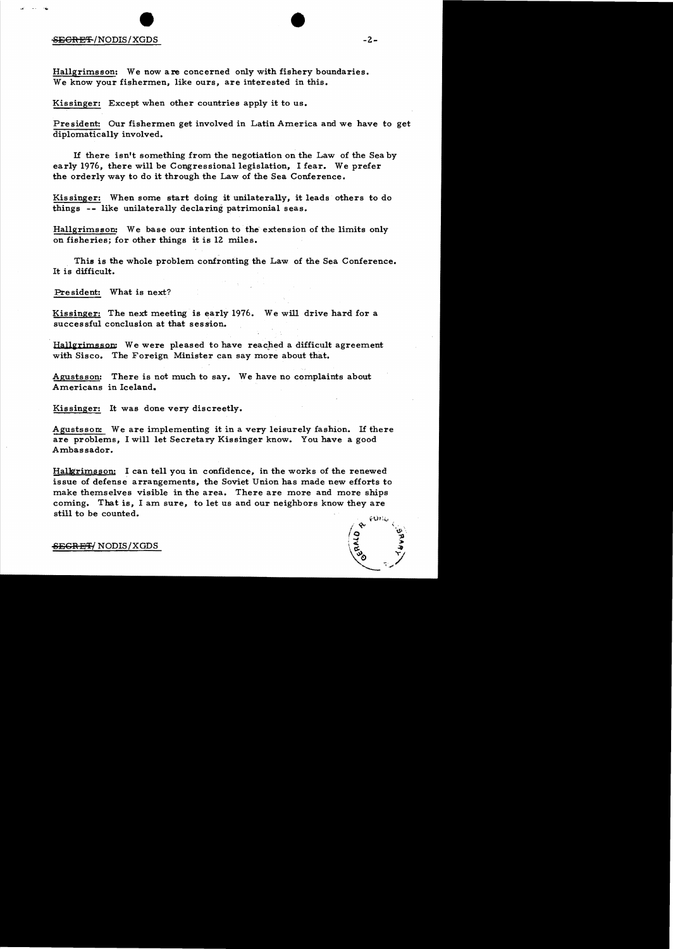## SE<del>CRET</del>/NODIS/XGDS

Hallgrimsson: We now are concerned only with fishery boundaries. We know your fishermen, like ours, are interested in this.

Kissinger: Except when other countries apply it to us.

President: Our fishermen get involved in Latin America and we have to get diplomatically involved.

If there isn't something from the negotiation on the Law of the Sea by early 1976, there will be Congressional legislation. I fear. We prefer the orderly way to do it through the Law of the Sea Conference.

Kissinger: When some start doing it unilaterally, it leads others to do things -- like unilaterally declaring patrimonial seas.

Hallgrimsson: We base our intention to the extension of the limits only on fisheries; for other things it is 12 miles.

This is the whole problem confronting the Law of the Sea Conference. It is difficult.

Pre sident: What is next?

Kissinger: The next meeting is early  $1976$ . We will drive hard for a successful conclusion at that session.

Hallgrimsson: We were pleased to have reached a difficult agreement with Sisco. The Foreign Minister can say more about that.

Agustsson: There is not much to say. We have no complaints about Americans in Iceland.

Kissinger: It was done very discreetly.

Agustsson: We are implementing it in a very leisurely fashion. If there are problems, I will let Secretary Kissinger know. You have a good Ambassador.

Halkrimsson: I can tell you in confidence, in the works of the renewed issue of defense arrangements, the Soviet Union has made new efforts to make themselves visible in the area. There are more and more ships coming. That is, I am sure, to let us and our neighbors know they are still to be counted.

<del>SEGRET/</del> NODIS/XGDS

 $-2-$ 

•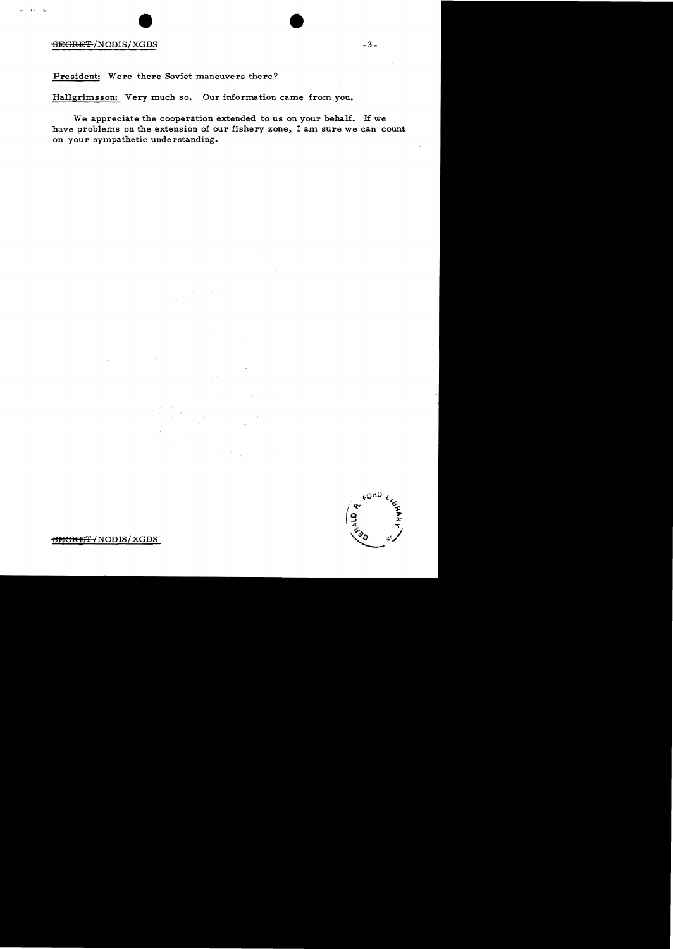## ergent (1995)<br>Financies (1996)<br>Segnet (1995)<br>Segnet (1995)

President: Were there Soviet maneuvers there?

Hallgrimsson: Very much so. Our information came from,you.

We appreciate the cooperation extended to us on your behalf. If we have problems on the extension of our fishery zone, I am sure we can count on your sympathetic understanding.



 $-3-$ 

-SECRET /NODIS/XGDS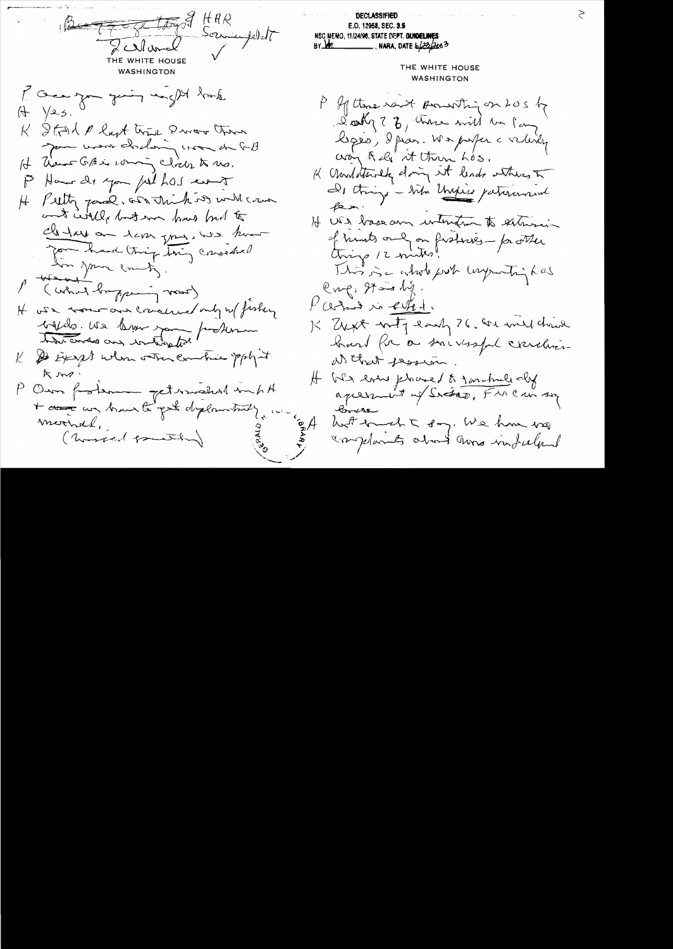Button Somme THE WHITE HOUSE **WASHINGTON** I can you going may be harde  $(A \vee B)$ . K Strak & last trie Dwar than Jam word chalong com de GB It have GAL coming click to no. P Ham de you julhos event H Putty pard, and think its will can and will but me how had to Clerkey on lever your, was home you have thing thing consedie! to your county. M (what bopping voor) It was more and concerned only we fisher billes. Us know you perhaps K & Except when other combine spokent Km. P Om fortem petermakent mint + assessment to get deplomated mochel, ( worsed pointly

**DECLASSIFIED** E.O. 12958, SEC. 3.5 NSC MEMO, 11/24/98, STATE DEPT. GUIDELINES  $BY$  M2 THE WHITE HOUSE **WASHINGTON** P If there went pounting on LOS by Doct of 7 b, chara will be fans leges, dpas. We poper a velidy cray Rely at them hos. K Undaturely doing it lends where I De tringe - when Ungless patiennament  $f$ ein. If US basecon intentent to subsisting of hunts only on fretries - factler This is a whole forth long with has  $e_{\gamma}e, \gamma = \gamma$ . Vardino evel K Expt with early 26 che will drive hard for a smirssfal concluenat that pession. H WS ever placed to formule dy  $8 - 28$ hoot brucht say, We have very Inplants about aura infulnul